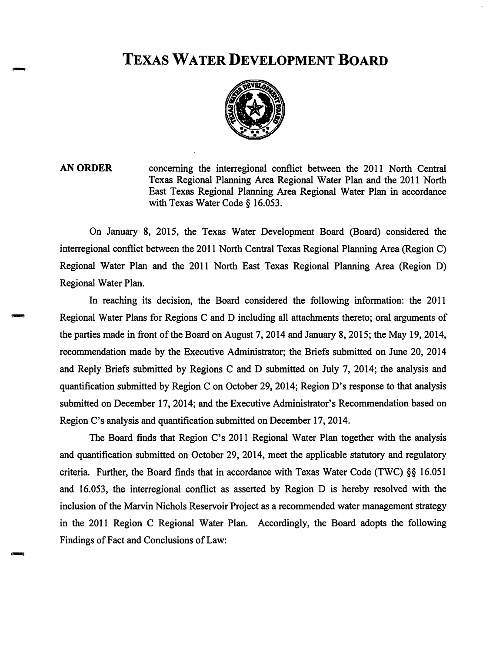# TEXAS WATER DEVELOPMENT BOARD



AN ORDER concerning the interregional conflict between the 2011 North Central Texas Regional Planning Area Regional Water Plan and the 2011 North East Texas Regional Planning Area Regional Water Plan in accordance with Texas Water Code § 16.053.

On January 8, 2015, the Texas Water Development Board (Board) considered the interregional conflict between the 2011 North Central Texas Regional Planning Area (Region C) Regional Water Plan and the 2011 North East Texas Regional Planning Area (Region D) Regional Water Plan.

In reaching its decision, the Board considered the following information: the 2011 Regional Water Plans for Regions C and D including all attachments thereto; oral arguments of the parties made in front of the Board on August 7, 2014 and January 8, 2015; the May 19, 2014, recommendation made by the Executive Administrator; the Briefs submitted on June 20, 2014 and Reply Briefs submitted by Regions C and D submitted on July 7, 2014; the analysis and quantification submitted by Region C on October 29, 2014; Region D's response to that analysis submitted on December 17, 2014; and the Executive Administrator's Recommendation based on Region C's analysis and quantification submitted on December 17,2014.

The Board finds that Region C's 2011 Regional Water Plan together with the analysis and quantification submitted on October 29, 2014, meet the applicable statutory and regulatory criteria. Further, the Board finds that in accordance with Texas Water Code (TWC) §§ 16.051 and 16.053, the interregional conflict as asserted by Region D is hereby resolved with the inclusion of the Marvin Nichols Reservoir Project as a recommended water management strategy in the 2011 Region C Regional Water Plan. Accordingly, the Board adopts the following Findings of Fact and Conclusions of Law: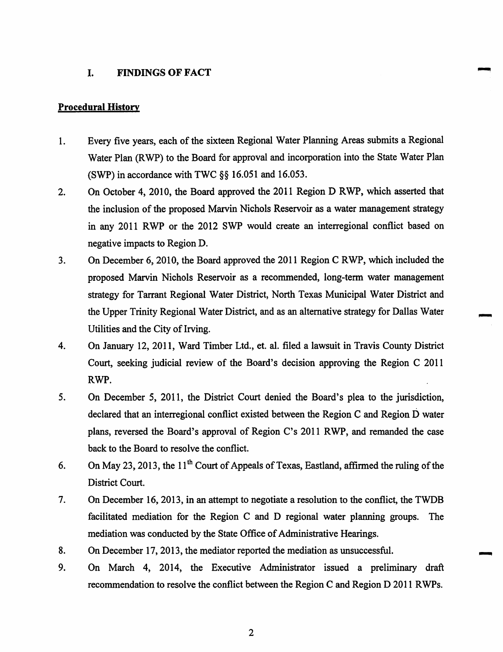#### I. **FINDINGS OF FACT**

#### **Procedural History**

- Every five years, each of the sixteen Regional Water Planning Areas submits a Regional  $1.$ Water Plan (RWP) to the Board for approval and incorporation into the State Water Plan (SWP) in accordance with TWC  $\S$ § 16.051 and 16.053.
- On October 4, 2010, the Board approved the 2011 Region D RWP, which asserted that  $2.$ the inclusion of the proposed Marvin Nichols Reservoir as a water management strategy in any 2011 RWP or the 2012 SWP would create an interregional conflict based on negative impacts to Region D.
- $3.$ On December 6, 2010, the Board approved the 2011 Region C RWP, which included the proposed Marvin Nichols Reservoir as a recommended, long-term water management strategy for Tarrant Regional Water District, North Texas Municipal Water District and the Upper Trinity Regional Water District, and as an alternative strategy for Dallas Water Utilities and the City of Irving.
- 4. On January 12, 2011, Ward Timber Ltd., et. al. filed a lawsuit in Travis County District Court, seeking judicial review of the Board's decision approving the Region C 2011 RWP.
- 5. On December 5, 2011, the District Court denied the Board's plea to the jurisdiction, declared that an interregional conflict existed between the Region C and Region D water plans, reversed the Board's approval of Region C's 2011 RWP, and remanded the case back to the Board to resolve the conflict.
- On May 23, 2013, the 11<sup>th</sup> Court of Appeals of Texas, Eastland, affirmed the ruling of the 6. District Court.
- 7. On December 16, 2013, in an attempt to negotiate a resolution to the conflict, the TWDB facilitated mediation for the Region C and D regional water planning groups. The mediation was conducted by the State Office of Administrative Hearings.
- 8. On December 17, 2013, the mediator reported the mediation as unsuccessful.
- 9. On March 4, 2014, the Executive Administrator issued a preliminary draft recommendation to resolve the conflict between the Region C and Region D 2011 RWPs.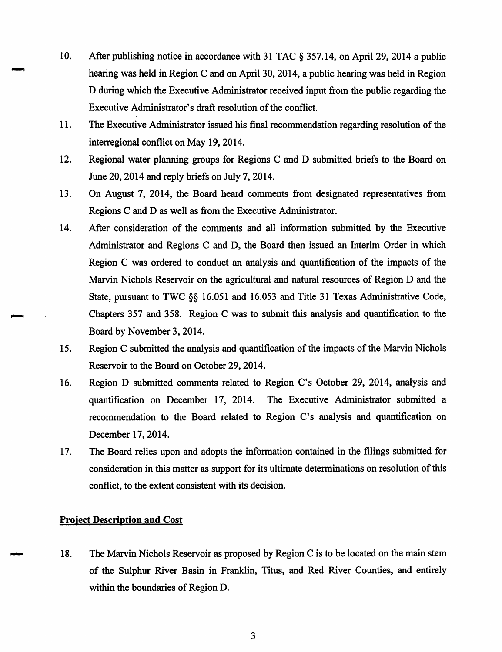- 10. After publishing notice in accordance with 31 TAC § 357.14, on April 29, 2014 a public hearing was held in Region C and on April 30, 2014, a public hearing was held in Region D during which the Executive Administrator received input from the public regarding the Executive Administrator's draft resolution of the conflict.
- 11. The Executive Administrator issued his final recommendation regarding resolution of the interregional conflict on May 19, 2014.
- $12.$ Regional water planning groups for Regions C and D submitted briefs to the Board on June 20, 2014 and reply briefs on July 7, 2014.
- 13. On August 7, 2014, the Board heard comments from designated representatives from Regions C and D as well as from the Executive Administrator.
- 14. After consideration of the comments and all information submitted by the Executive Administrator and Regions C and D, the Board then issued an Interim Order in which Region C was ordered to conduct an analysis and quantification of the impacts of the Marvin Nichols Reservoir on the agricultural and natural resources of Region D and the State, pursuant to TWC §§ 16.051 and 16.053 and Title 31 Texas Administrative Code, Chapters 357 and 358. Region C was to submit this analysis and quantification to the Board by November 3, 2014.
- 15. Region C submitted the analysis and quantification of the impacts of the Marvin Nichols Reservoir to the Board on October 29, 2014.
- Region D submitted comments related to Region C's October 29, 2014, analysis and 16. quantification on December 17, 2014. The Executive Administrator submitted a recommendation to the Board related to Region C's analysis and quantification on December 17, 2014.
- The Board relies upon and adopts the information contained in the filings submitted for 17. consideration in this matter as support for its ultimate determinations on resolution of this conflict, to the extent consistent with its decision.

# **Project Description and Cost**

18. The Marvin Nichols Reservoir as proposed by Region C is to be located on the main stem of the Sulphur River Basin in Franklin, Titus, and Red River Counties, and entirely within the boundaries of Region D.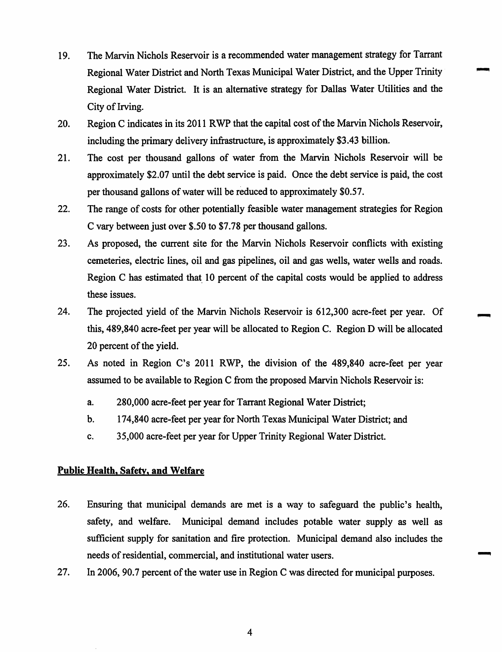- The Marvin Nichols Reservoir is a recommended water management strategy for Tarrant 19. Regional Water District and North Texas Municipal Water District, and the Upper Trinity Regional Water District. It is an alternative strategy for Dallas Water Utilities and the City of Irving.
- 20. Region C indicates in its 2011 RWP that the capital cost of the Marvin Nichols Reservoir, including the primary delivery infrastructure, is approximately \$3.43 billion.
- $21.$ The cost per thousand gallons of water from the Marvin Nichols Reservoir will be approximately \$2.07 until the debt service is paid. Once the debt service is paid, the cost per thousand gallons of water will be reduced to approximately \$0.57.
- $22.$ The range of costs for other potentially feasible water management strategies for Region C vary between just over \$.50 to \$7.78 per thousand gallons.
- $23.$ As proposed, the current site for the Marvin Nichols Reservoir conflicts with existing cemeteries, electric lines, oil and gas pipelines, oil and gas wells, water wells and roads. Region C has estimated that 10 percent of the capital costs would be applied to address these issues.
- 24. The projected yield of the Marvin Nichols Reservoir is 612,300 acre-feet per year. Of this, 489,840 acre-feet per year will be allocated to Region C. Region D will be allocated 20 percent of the yield.
- $25.$ As noted in Region C's 2011 RWP, the division of the 489,840 acre-feet per year assumed to be available to Region C from the proposed Marvin Nichols Reservoir is:
	- a. 280,000 acre-feet per year for Tarrant Regional Water District;
	- b. 174,840 acre-feet per year for North Texas Municipal Water District; and
	- c. 35,000 acre-feet per year for Upper Trinity Regional Water District.

## **Public Health, Safety, and Welfare**

- 26. Ensuring that municipal demands are met is a way to safeguard the public's health, safety, and welfare. Municipal demand includes potable water supply as well as sufficient supply for sanitation and fire protection. Municipal demand also includes the needs of residential, commercial, and institutional water users.
- 27. In 2006, 90.7 percent of the water use in Region C was directed for municipal purposes.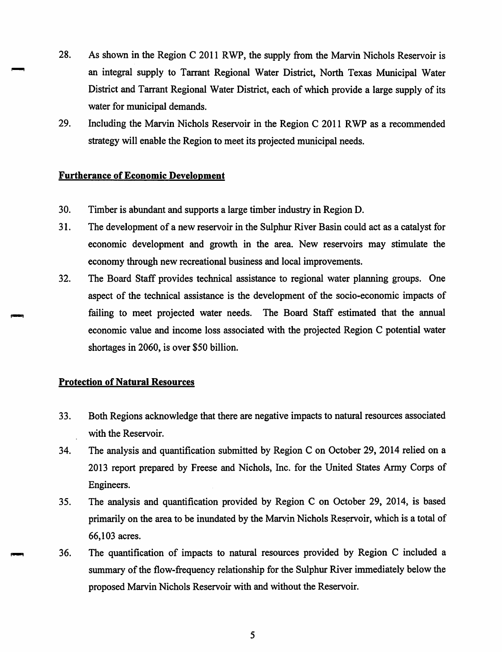- 28. As shown in the Region C 2011 RWP, the supply from the Marvin Nichols Reservoir is an integral supply to Tarrant Regional Water District, North Texas Municipal Water District and Tarrant Regional Water District, each of which provide a large supply of its water for municipal demands.
- 29. Including the Marvin Nichols Reservoir in the Region C 2011 RWP as a recommended strategy will enable the Region to meet its projected municipal needs.

### **Furtherance of Economic Development**

- 30. Timber is abundant and supports a large timber industry in Region D.
- 31. The development of a new reservoir in the Sulphur River Basin could act as a catalyst for economic development and growth in the area. New reservoirs may stimulate the economy through new recreational business and local improvements.
- $32.$ The Board Staff provides technical assistance to regional water planning groups. One aspect of the technical assistance is the development of the socio-economic impacts of failing to meet projected water needs. The Board Staff estimated that the annual economic value and income loss associated with the projected Region C potential water shortages in 2060, is over \$50 billion.

## **Protection of Natural Resources**

- 33. Both Regions acknowledge that there are negative impacts to natural resources associated with the Reservoir.
- 34. The analysis and quantification submitted by Region C on October 29, 2014 relied on a 2013 report prepared by Freese and Nichols, Inc. for the United States Army Corps of Engineers.
- 35. The analysis and quantification provided by Region C on October 29, 2014, is based primarily on the area to be inundated by the Marvin Nichols Reservoir, which is a total of 66,103 acres.
- 36. The quantification of impacts to natural resources provided by Region C included a summary of the flow-frequency relationship for the Sulphur River immediately below the proposed Marvin Nichols Reservoir with and without the Reservoir.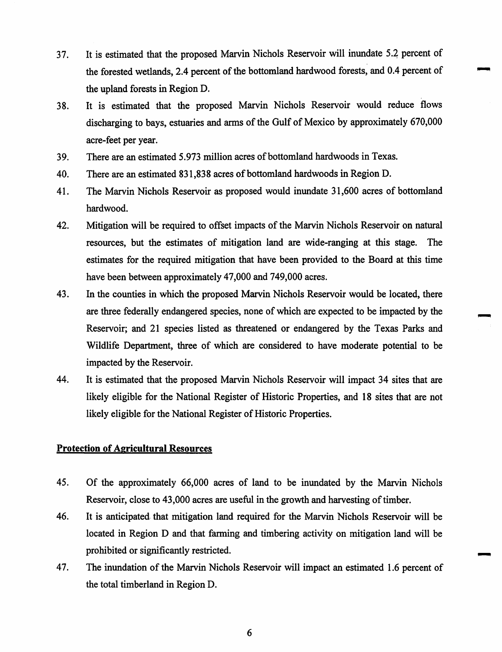- It is estimated that the proposed Marvin Nichols Reservoir will inundate 5.2 percent of 37. the forested wetlands, 2.4 percent of the bottomland hardwood forests, and 0.4 percent of the upland forests in Region D.
- It is estimated that the proposed Marvin Nichols Reservoir would reduce flows 38. discharging to bays, estuaries and arms of the Gulf of Mexico by approximately 670,000 acre-feet per year.
- There are an estimated 5.973 million acres of bottomland hardwoods in Texas. 39.
- There are an estimated 831,838 acres of bottomland hardwoods in Region D. 40.
- 41. The Marvin Nichols Reservoir as proposed would inundate 31,600 acres of bottomland hardwood.
- 42. Mitigation will be required to offset impacts of the Marvin Nichols Reservoir on natural resources, but the estimates of mitigation land are wide-ranging at this stage. **The** estimates for the required mitigation that have been provided to the Board at this time have been between approximately 47,000 and 749,000 acres.
- 43. In the counties in which the proposed Marvin Nichols Reservoir would be located, there are three federally endangered species, none of which are expected to be impacted by the Reservoir; and 21 species listed as threatened or endangered by the Texas Parks and Wildlife Department, three of which are considered to have moderate potential to be impacted by the Reservoir.
- 44. It is estimated that the proposed Marvin Nichols Reservoir will impact 34 sites that are likely eligible for the National Register of Historic Properties, and 18 sites that are not likely eligible for the National Register of Historic Properties.

#### **Protection of Agricultural Resources**

- 45. Of the approximately 66,000 acres of land to be inundated by the Marvin Nichols Reservoir, close to 43,000 acres are useful in the growth and harvesting of timber.
- 46. It is anticipated that mitigation land required for the Marvin Nichols Reservoir will be located in Region D and that farming and timbering activity on mitigation land will be prohibited or significantly restricted.
- 47. The inundation of the Marvin Nichols Reservoir will impact an estimated 1.6 percent of the total timberland in Region D.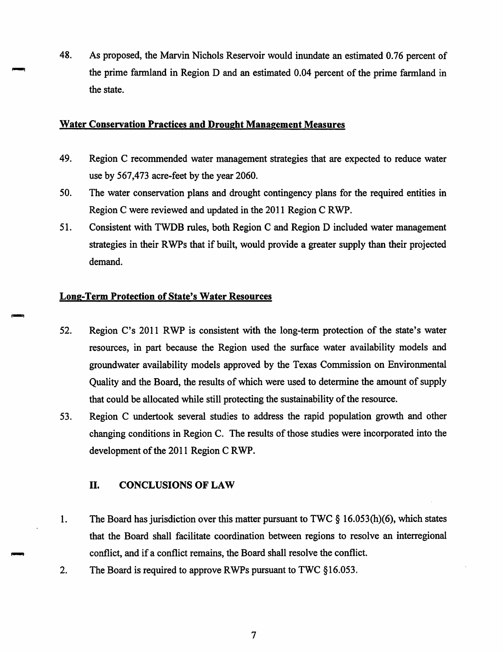48. As proposed, the Marvin Nichols Reservoir would inundate an estimated 0.76 percent of the prime farmland in Region D and an estimated 0.04 percent of the prime farmland in the state.

### **Water Conservation Practices and Drought Management Measures**

- 49. Region C recommended water management strategies that are expected to reduce water use by 567,473 acre-feet by the year 2060.
- 50. The water conservation plans and drought contingency plans for the required entities in Region C were reviewed and updated in the 2011 Region C RWP.
- 51. Consistent with TWDB rules, both Region C and Region D included water management strategies in their RWPs that if built, would provide a greater supply than their projected demand.

# **Long-Term Protection of State's Water Resources**

- 52. Region C's 2011 RWP is consistent with the long-term protection of the state's water resources, in part because the Region used the surface water availability models and groundwater availability models approved by the Texas Commission on Environmental Quality and the Board, the results of which were used to determine the amount of supply that could be allocated while still protecting the sustainability of the resource.
- 53. Region C undertook several studies to address the rapid population growth and other changing conditions in Region C. The results of those studies were incorporated into the development of the 2011 Region C RWP.

#### II. **CONCLUSIONS OF LAW**

- 1. The Board has jurisdiction over this matter pursuant to TWC  $\S$  16.053(h)(6), which states that the Board shall facilitate coordination between regions to resolve an interregional conflict, and if a conflict remains, the Board shall resolve the conflict.
- $2.$ The Board is required to approve RWPs pursuant to TWC §16.053.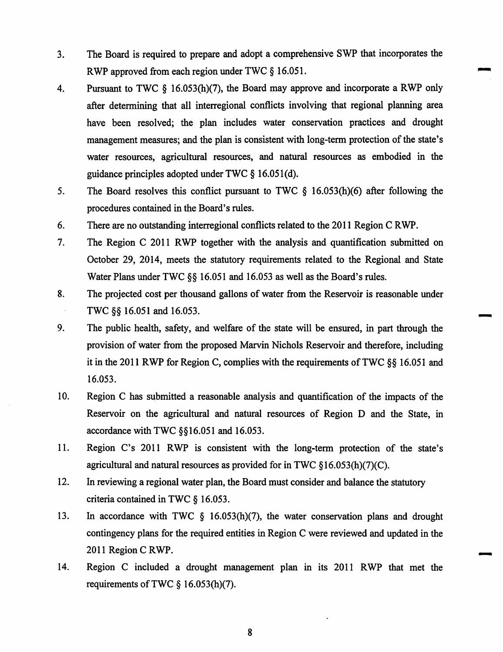- The Board is required to prepare and adopt a comprehensive SWP that incorporates the  $3<sub>1</sub>$ RWP approved from each region under TWC § 16.051.
- Pursuant to TWC  $\S$  16.053(h)(7), the Board may approve and incorporate a RWP only 4. after determining that all interregional conflicts involving that regional planning area have been resolved; the plan includes water conservation practices and drought management measures; and the plan is consistent with long-term protection of the state's water resources, agricultural resources, and natural resources as embodied in the guidance principles adopted under TWC § 16.051(d).
- 5. The Board resolves this conflict pursuant to TWC  $\S$  16.053(h)(6) after following the procedures contained in the Board's rules.
- 6. There are no outstanding interregional conflicts related to the 2011 Region C RWP.
- 7. The Region C 2011 RWP together with the analysis and quantification submitted on October 29, 2014, meets the statutory requirements related to the Regional and State Water Plans under TWC  $\S$ § 16.051 and 16.053 as well as the Board's rules.
- The projected cost per thousand gallons of water from the Reservoir is reasonable under 8. TWC §§ 16.051 and 16.053.
- 9. The public health, safety, and welfare of the state will be ensured, in part through the provision of water from the proposed Marvin Nichols Reservoir and therefore, including it in the 2011 RWP for Region C, complies with the requirements of TWC  $\S$ § 16.051 and 16.053.
- 10. Region C has submitted a reasonable analysis and quantification of the impacts of the Reservoir on the agricultural and natural resources of Region D and the State, in accordance with TWC §§16.051 and 16.053.
- 11. Region C's 2011 RWP is consistent with the long-term protection of the state's agricultural and natural resources as provided for in TWC  $$16.053(h)(7)(C)$ .
- 12. In reviewing a regional water plan, the Board must consider and balance the statutory criteria contained in TWC § 16.053.
- 13. In accordance with TWC  $\S$  16.053(h)(7), the water conservation plans and drought contingency plans for the required entities in Region C were reviewed and updated in the 2011 Region C RWP.
- 14. Region C included a drought management plan in its 2011 RWP that met the requirements of TWC  $\S$  16.053(h)(7).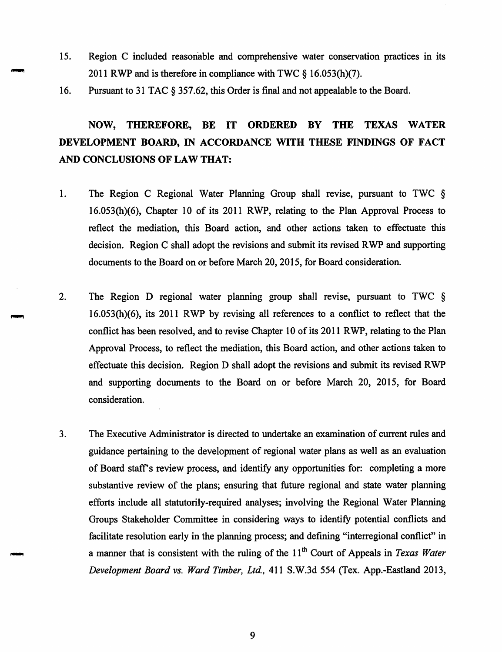- 15. Region C included reasonable and comprehensive water conservation practices in its 2011 RWP and is therefore in compliance with TWC § 16.053(h)(7).
- 16. Pursuant to 31 TAC § 357.62, this Order is final and not appealable to the Board.

#### THEREFORE, BE IT ORDERED BY **THE TEXAS WATER** NOW, DEVELOPMENT BOARD, IN ACCORDANCE WITH THESE FINDINGS OF FACT AND CONCLUSIONS OF LAW THAT:

- $1.$ The Region C Regional Water Planning Group shall revise, pursuant to TWC § 16.053(h)(6), Chapter 10 of its 2011 RWP, relating to the Plan Approval Process to reflect the mediation, this Board action, and other actions taken to effectuate this decision. Region C shall adopt the revisions and submit its revised RWP and supporting documents to the Board on or before March 20, 2015, for Board consideration.
- $2.$ The Region D regional water planning group shall revise, pursuant to TWC  $\S$  $16.053(h)(6)$ , its 2011 RWP by revising all references to a conflict to reflect that the conflict has been resolved, and to revise Chapter 10 of its 2011 RWP, relating to the Plan Approval Process, to reflect the mediation, this Board action, and other actions taken to effectuate this decision. Region D shall adopt the revisions and submit its revised RWP and supporting documents to the Board on or before March 20, 2015, for Board consideration.
- $3.$ The Executive Administrator is directed to undertake an examination of current rules and guidance pertaining to the development of regional water plans as well as an evaluation of Board staff's review process, and identify any opportunities for: completing a more substantive review of the plans; ensuring that future regional and state water planning efforts include all statutorily-required analyses; involving the Regional Water Planning Groups Stakeholder Committee in considering ways to identify potential conflicts and facilitate resolution early in the planning process; and defining "interregional conflict" in a manner that is consistent with the ruling of the  $11<sup>th</sup>$  Court of Appeals in Texas Water Development Board vs. Ward Timber, Ltd., 411 S.W.3d 554 (Tex. App.-Eastland 2013,